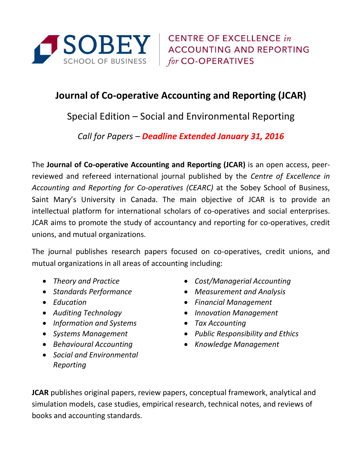

**CENTRE OF EXCELLENCE in ACCOUNTING AND REPORTING** for CO-OPERATIVES

## **Journal of Co-operative Accounting and Reporting (JCAR)**

Special Edition – Social and Environmental Reporting

*Call for Papers – Deadline Extended January 31, 2016*

The **Journal of Co-operative Accounting and Reporting (JCAR)** is an open access, peerreviewed and refereed international journal published by the *Centre of Excellence in Accounting and Reporting for Co-operatives (CEARC)* at the Sobey School of Business, Saint Mary's University in Canada. The main objective of JCAR is to provide an intellectual platform for international scholars of co-operatives and social enterprises. JCAR aims to promote the study of accountancy and reporting for co-operatives, credit unions, and mutual organizations.

The journal publishes research papers focused on co-operatives, credit unions, and mutual organizations in all areas of accounting including:

- 
- 
- 
- 
- *Information and Systems Tax Accounting*
- 
- *Behavioural Accounting*
- *Social and Environmental Reporting*
- *Theory and Practice Cost/Managerial Accounting*
- *Standards Performance Measurement and Analysis*
- *Education Financial Management*
- *Auditing Technology Innovation Management*
	-
- *Systems Management Public Responsibility and Ethics*
	- *Knowledge Management*

**JCAR** publishes original papers, review papers, conceptual framework, analytical and simulation models, case studies, empirical research, technical notes, and reviews of books and accounting standards.